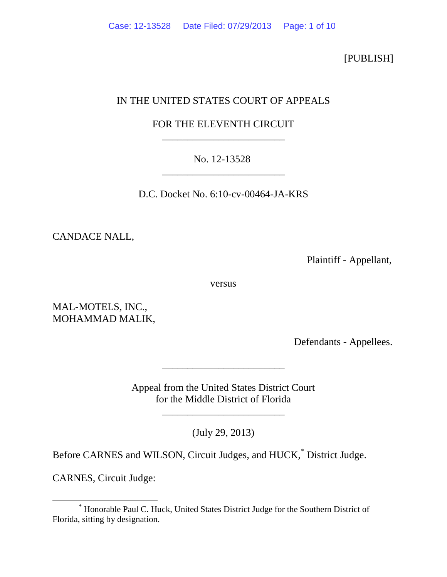[PUBLISH]

# IN THE UNITED STATES COURT OF APPEALS

# FOR THE ELEVENTH CIRCUIT \_\_\_\_\_\_\_\_\_\_\_\_\_\_\_\_\_\_\_\_\_\_\_\_

## No. 12-13528 \_\_\_\_\_\_\_\_\_\_\_\_\_\_\_\_\_\_\_\_\_\_\_\_

D.C. Docket No. 6:10-cv-00464-JA-KRS

CANDACE NALL,

Plaintiff - Appellant,

versus

MAL-MOTELS, INC., MOHAMMAD MALIK,

Defendants - Appellees.

Appeal from the United States District Court for the Middle District of Florida

\_\_\_\_\_\_\_\_\_\_\_\_\_\_\_\_\_\_\_\_\_\_\_\_

\_\_\_\_\_\_\_\_\_\_\_\_\_\_\_\_\_\_\_\_\_\_\_\_

(July 29, 2013)

Before CARNES and WILSON, Circuit Judges, and HUCK,[\\*](#page-0-0) District Judge.

CARNES, Circuit Judge:

<span id="page-0-0"></span> <sup>\*</sup> Honorable Paul C. Huck, United States District Judge for the Southern District of Florida, sitting by designation.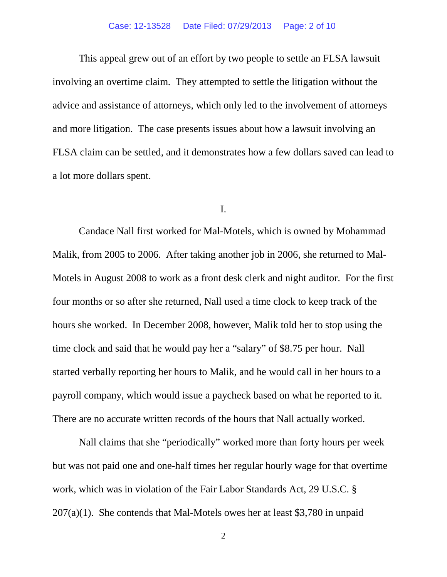#### Case: 12-13528 Date Filed: 07/29/2013 Page: 2 of 10

This appeal grew out of an effort by two people to settle an FLSA lawsuit involving an overtime claim. They attempted to settle the litigation without the advice and assistance of attorneys, which only led to the involvement of attorneys and more litigation. The case presents issues about how a lawsuit involving an FLSA claim can be settled, and it demonstrates how a few dollars saved can lead to a lot more dollars spent.

## I.

Candace Nall first worked for Mal-Motels, which is owned by Mohammad Malik, from 2005 to 2006. After taking another job in 2006, she returned to Mal-Motels in August 2008 to work as a front desk clerk and night auditor. For the first four months or so after she returned, Nall used a time clock to keep track of the hours she worked. In December 2008, however, Malik told her to stop using the time clock and said that he would pay her a "salary" of \$8.75 per hour. Nall started verbally reporting her hours to Malik, and he would call in her hours to a payroll company, which would issue a paycheck based on what he reported to it. There are no accurate written records of the hours that Nall actually worked.

Nall claims that she "periodically" worked more than forty hours per week but was not paid one and one-half times her regular hourly wage for that overtime work, which was in violation of the Fair Labor Standards Act, 29 U.S.C. §  $207(a)(1)$ . She contends that Mal-Motels owes her at least \$3,780 in unpaid

<sup>2</sup>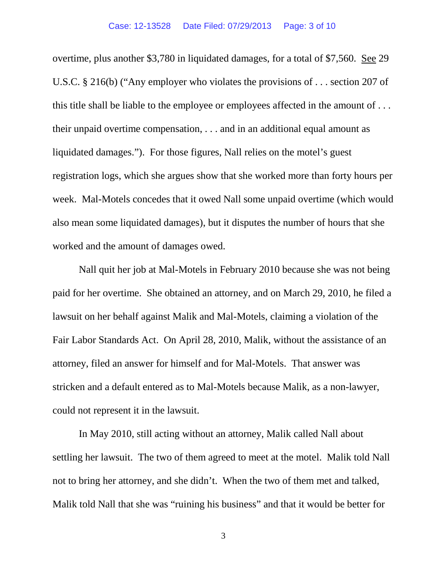overtime, plus another \$3,780 in liquidated damages, for a total of \$7,560. See 29 U.S.C. § 216(b) ("Any employer who violates the provisions of . . . section 207 of this title shall be liable to the employee or employees affected in the amount of . . . their unpaid overtime compensation, . . . and in an additional equal amount as liquidated damages."). For those figures, Nall relies on the motel's guest registration logs, which she argues show that she worked more than forty hours per week. Mal-Motels concedes that it owed Nall some unpaid overtime (which would also mean some liquidated damages), but it disputes the number of hours that she worked and the amount of damages owed.

Nall quit her job at Mal-Motels in February 2010 because she was not being paid for her overtime. She obtained an attorney, and on March 29, 2010, he filed a lawsuit on her behalf against Malik and Mal-Motels, claiming a violation of the Fair Labor Standards Act. On April 28, 2010, Malik, without the assistance of an attorney, filed an answer for himself and for Mal-Motels. That answer was stricken and a default entered as to Mal-Motels because Malik, as a non-lawyer, could not represent it in the lawsuit.

In May 2010, still acting without an attorney, Malik called Nall about settling her lawsuit. The two of them agreed to meet at the motel. Malik told Nall not to bring her attorney, and she didn't. When the two of them met and talked, Malik told Nall that she was "ruining his business" and that it would be better for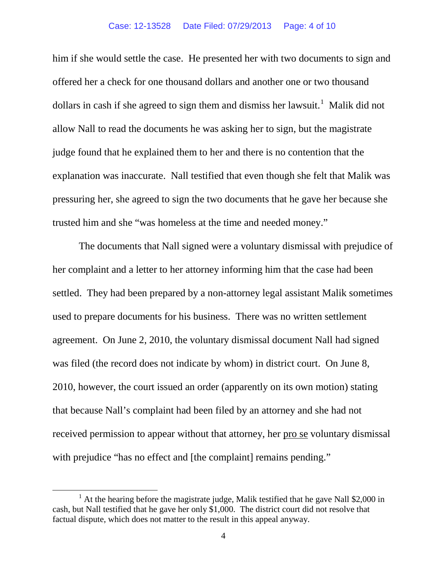#### Case: 12-13528 Date Filed: 07/29/2013 Page: 4 of 10

him if she would settle the case. He presented her with two documents to sign and offered her a check for one thousand dollars and another one or two thousand dollars in cash if she agreed to sign them and dismiss her lawsuit.<sup>[1](#page-3-0)</sup> Malik did not allow Nall to read the documents he was asking her to sign, but the magistrate judge found that he explained them to her and there is no contention that the explanation was inaccurate. Nall testified that even though she felt that Malik was pressuring her, she agreed to sign the two documents that he gave her because she trusted him and she "was homeless at the time and needed money."

The documents that Nall signed were a voluntary dismissal with prejudice of her complaint and a letter to her attorney informing him that the case had been settled. They had been prepared by a non-attorney legal assistant Malik sometimes used to prepare documents for his business. There was no written settlement agreement. On June 2, 2010, the voluntary dismissal document Nall had signed was filed (the record does not indicate by whom) in district court. On June 8, 2010, however, the court issued an order (apparently on its own motion) stating that because Nall's complaint had been filed by an attorney and she had not received permission to appear without that attorney, her pro se voluntary dismissal with prejudice "has no effect and [the complaint] remains pending."

<span id="page-3-0"></span><sup>&</sup>lt;sup>1</sup> At the hearing before the magistrate judge, Malik testified that he gave Nall \$2,000 in cash, but Nall testified that he gave her only \$1,000. The district court did not resolve that factual dispute, which does not matter to the result in this appeal anyway.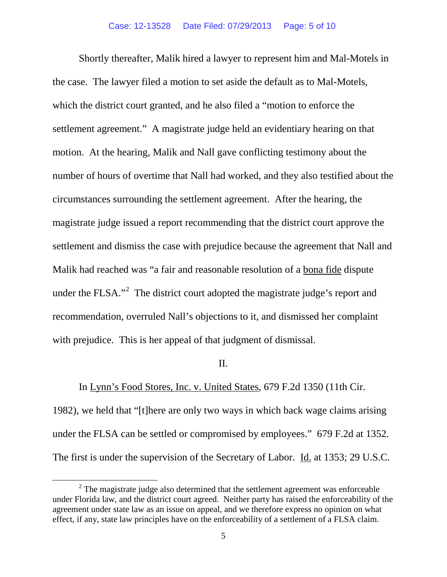Shortly thereafter, Malik hired a lawyer to represent him and Mal-Motels in the case. The lawyer filed a motion to set aside the default as to Mal-Motels, which the district court granted, and he also filed a "motion to enforce the settlement agreement." A magistrate judge held an evidentiary hearing on that motion. At the hearing, Malik and Nall gave conflicting testimony about the number of hours of overtime that Nall had worked, and they also testified about the circumstances surrounding the settlement agreement. After the hearing, the magistrate judge issued a report recommending that the district court approve the settlement and dismiss the case with prejudice because the agreement that Nall and Malik had reached was "a fair and reasonable resolution of a bona fide dispute under the FLSA."<sup>[2](#page-4-0)</sup> The district court adopted the magistrate judge's report and recommendation, overruled Nall's objections to it, and dismissed her complaint with prejudice. This is her appeal of that judgment of dismissal.

## II.

# In Lynn's Food Stores, Inc. v. United States, 679 F.2d 1350 (11th Cir.

1982), we held that "[t]here are only two ways in which back wage claims arising under the FLSA can be settled or compromised by employees." 679 F.2d at 1352. The first is under the supervision of the Secretary of Labor. Id. at 1353; 29 U.S.C.

<span id="page-4-0"></span> $2$  The magistrate judge also determined that the settlement agreement was enforceable under Florida law, and the district court agreed. Neither party has raised the enforceability of the agreement under state law as an issue on appeal, and we therefore express no opinion on what effect, if any, state law principles have on the enforceability of a settlement of a FLSA claim.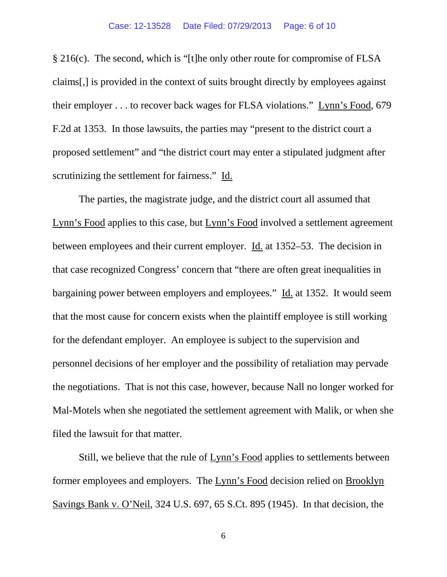## Case: 12-13528 Date Filed: 07/29/2013 Page: 6 of 10

§ 216(c). The second, which is "[t]he only other route for compromise of FLSA claims[,] is provided in the context of suits brought directly by employees against their employer . . . to recover back wages for FLSA violations." Lynn's Food, 679 F.2d at 1353. In those lawsuits, the parties may "present to the district court a proposed settlement" and "the district court may enter a stipulated judgment after scrutinizing the settlement for fairness." Id.

The parties, the magistrate judge, and the district court all assumed that Lynn's Food applies to this case, but Lynn's Food involved a settlement agreement between employees and their current employer. Id. at 1352–53. The decision in that case recognized Congress' concern that "there are often great inequalities in bargaining power between employers and employees." Id. at 1352. It would seem that the most cause for concern exists when the plaintiff employee is still working for the defendant employer. An employee is subject to the supervision and personnel decisions of her employer and the possibility of retaliation may pervade the negotiations. That is not this case, however, because Nall no longer worked for Mal-Motels when she negotiated the settlement agreement with Malik, or when she filed the lawsuit for that matter.

Still, we believe that the rule of Lynn's Food applies to settlements between former employees and employers. The Lynn's Food decision relied on Brooklyn Savings Bank v. O'Neil, 324 U.S. 697, 65 S.Ct. 895 (1945). In that decision, the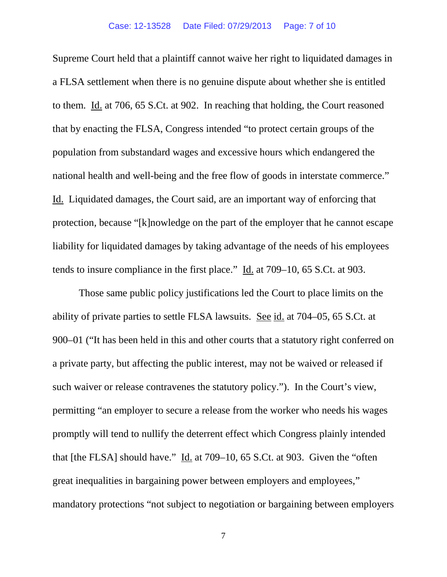Supreme Court held that a plaintiff cannot waive her right to liquidated damages in a FLSA settlement when there is no genuine dispute about whether she is entitled to them. Id. at 706, 65 S.Ct. at 902. In reaching that holding, the Court reasoned that by enacting the FLSA, Congress intended "to protect certain groups of the population from substandard wages and excessive hours which endangered the national health and well-being and the free flow of goods in interstate commerce." Id. Liquidated damages, the Court said, are an important way of enforcing that protection, because "[k]nowledge on the part of the employer that he cannot escape liability for liquidated damages by taking advantage of the needs of his employees tends to insure compliance in the first place." Id. at 709–10, 65 S.Ct. at 903.

Those same public policy justifications led the Court to place limits on the ability of private parties to settle FLSA lawsuits. See id. at 704–05, 65 S.Ct. at 900–01 ("It has been held in this and other courts that a statutory right conferred on a private party, but affecting the public interest, may not be waived or released if such waiver or release contravenes the statutory policy."). In the Court's view, permitting "an employer to secure a release from the worker who needs his wages promptly will tend to nullify the deterrent effect which Congress plainly intended that [the FLSA] should have." Id. at 709–10, 65 S.Ct. at 903. Given the "often great inequalities in bargaining power between employers and employees," mandatory protections "not subject to negotiation or bargaining between employers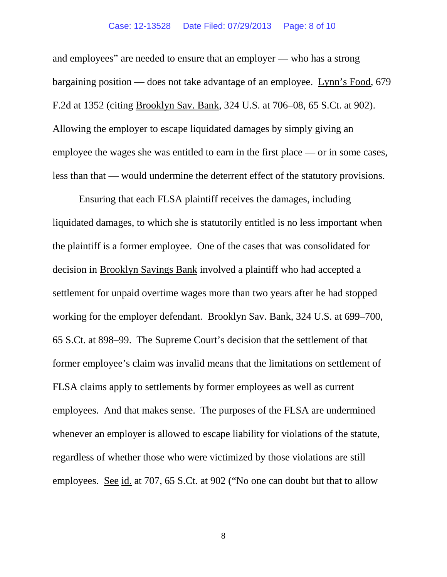## Case: 12-13528 Date Filed: 07/29/2013 Page: 8 of 10

and employees" are needed to ensure that an employer — who has a strong bargaining position — does not take advantage of an employee. Lynn's Food, 679 F.2d at 1352 (citing Brooklyn Sav. Bank, 324 U.S. at 706–08, 65 S.Ct. at 902). Allowing the employer to escape liquidated damages by simply giving an employee the wages she was entitled to earn in the first place — or in some cases, less than that — would undermine the deterrent effect of the statutory provisions.

Ensuring that each FLSA plaintiff receives the damages, including liquidated damages, to which she is statutorily entitled is no less important when the plaintiff is a former employee. One of the cases that was consolidated for decision in Brooklyn Savings Bank involved a plaintiff who had accepted a settlement for unpaid overtime wages more than two years after he had stopped working for the employer defendant. Brooklyn Sav. Bank, 324 U.S. at 699–700, 65 S.Ct. at 898–99. The Supreme Court's decision that the settlement of that former employee's claim was invalid means that the limitations on settlement of FLSA claims apply to settlements by former employees as well as current employees. And that makes sense. The purposes of the FLSA are undermined whenever an employer is allowed to escape liability for violations of the statute, regardless of whether those who were victimized by those violations are still employees. See id. at 707, 65 S.Ct. at 902 ("No one can doubt but that to allow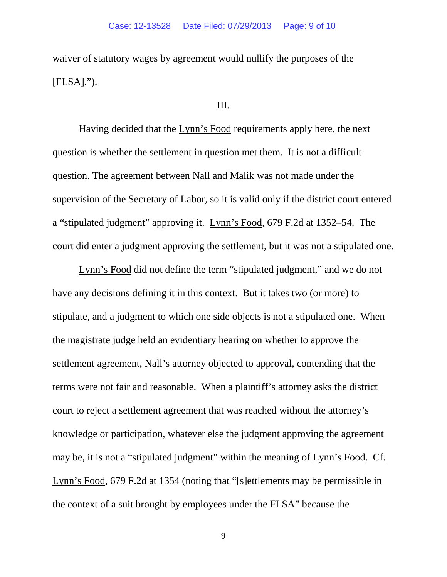waiver of statutory wages by agreement would nullify the purposes of the [FLSA].").

## III.

Having decided that the Lynn's Food requirements apply here, the next question is whether the settlement in question met them. It is not a difficult question. The agreement between Nall and Malik was not made under the supervision of the Secretary of Labor, so it is valid only if the district court entered a "stipulated judgment" approving it. Lynn's Food, 679 F.2d at 1352–54. The court did enter a judgment approving the settlement, but it was not a stipulated one.

Lynn's Food did not define the term "stipulated judgment," and we do not have any decisions defining it in this context. But it takes two (or more) to stipulate, and a judgment to which one side objects is not a stipulated one. When the magistrate judge held an evidentiary hearing on whether to approve the settlement agreement, Nall's attorney objected to approval, contending that the terms were not fair and reasonable. When a plaintiff's attorney asks the district court to reject a settlement agreement that was reached without the attorney's knowledge or participation, whatever else the judgment approving the agreement may be, it is not a "stipulated judgment" within the meaning of Lynn's Food. Cf. Lynn's Food, 679 F.2d at 1354 (noting that "[s]ettlements may be permissible in the context of a suit brought by employees under the FLSA" because the